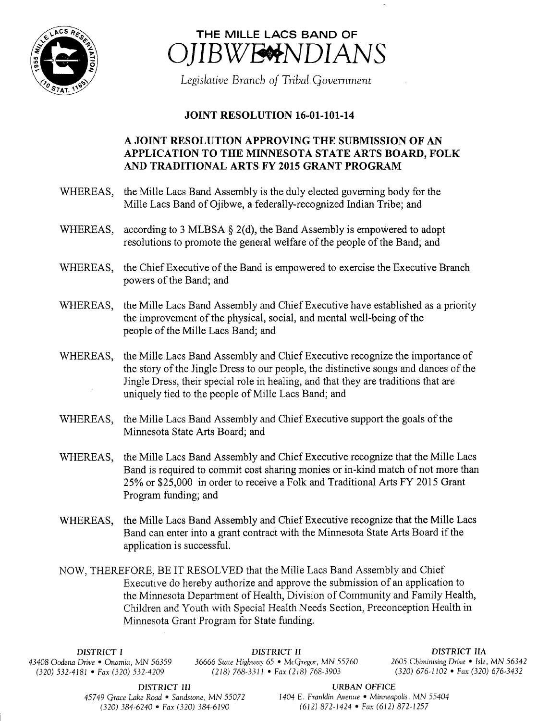



Legislative Branch of Tribal Government

## **JOINT RESOLUTION 16-01-101-14**

## A JOINT RESOLUTION APPROVING THE SUBMISSION OF AN APPLICATION TO THE MINNESOTA STATE ARTS BOARD, FOLK AND TRADITIONAL ARTS FY 2015 GRANT PROGRAM

- WHEREAS, the Mille Lacs Band Assembly is the duly elected governing body for the Mille Lacs Band of Ojibwe, a federally-recognized Indian Tribe; and
- WHEREAS, according to 3 MLBSA  $\S$  2(d), the Band Assembly is empowered to adopt resolutions to promote the general welfare of the people of the Band; and
- WHEREAS, the Chief Executive of the Band is empowered to exercise the Executive Branch powers of the Band; and
- WHEREAS, the Mille Lacs Band Assembly and Chief Executive have established as <sup>a</sup> priority the improvement of the physical, social, and mental well-being of the people of the Mille Lacs Band; and
- WHEREAS, the Mille Lacs Band Assembly and Chief Executive recognize the importance of the story of the Jingle Dress to our people, the distinctive songs and dances of the Jingle Dress, their special role in healing, and that they are traditions that are uniquely tied to the people of Mille Lacs Band; and
- WHEREAS, the Mille Lacs Band Assembly and Chief Executive support the goals of the Minnesota State Arts Board; and
- WHEREAS, the Mille Lacs Band Assembly and Chief Executive recognize that the Mille Lacs Band is required to commit cost sharing monies or in-kind match of not more than 25% or \$25,000 in order to receive a Folk and Traditional Arts FY 2015 Grant Program funding; and
- WHEREAS, the Mille Lacs Band Assembly and Chief Executive recognize that the Mille Lacs Band can enter into a grant contract with the Minnesota State Arts Board if the application is successful.

NOW, THEREFORE, BE IT RESOLVED that the Mille Lacs Band Assembly and Chief Executive do hereby authorize and approve the submission of an application to the Minnesota Department of Health, Division of Community and Family Health, Children and Youth with Special Health Needs Section, Preconception Health in Minnesota Grant Program for State funding.

 $(320)$  532-4181 • Fax(320) 532-4209

DISTRICT I DISTRICT II DISTRICT IIA 43408 Oodena Drive • Onamia, MN 56359 36666 State Highway 65 • McGregor, MN 55760 2605 Chiminising Drive • Isle, MN 56342<br>(318) 768-3311 • Fax (218) 768-3903 (320) 676-1102 • Fax (320) 676-3432

45749 Grace Lake Road • Sandstone, MN 55072

**DISTRICT III** URBAN OFFICE<br>
ke Road • Sandstone, MN 55072 1404 E. Franklin Avenue • Minneapolis, MN 55404 320) 384- 6240 • Fax( 320) 384- 6190 612) 872- 1424 • Fax( 612) 872- 1257